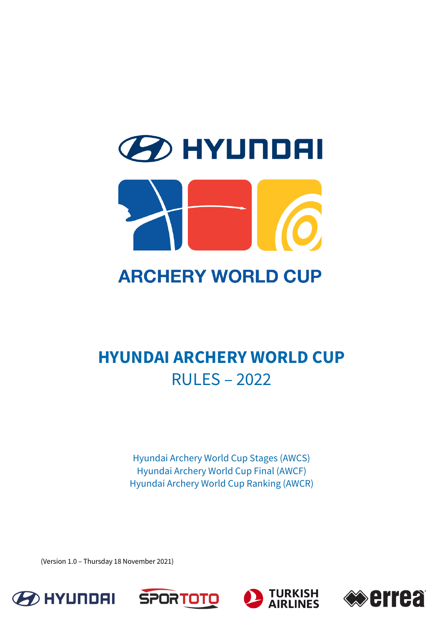# **2D HYUNDAI ARCHERY WORLD CUP**

# **HYUNDAI ARCHERY WORLD CUP** RULES – 2022

Hyundai Archery World Cup Stages (AWCS) Hyundai Archery World Cup Final (AWCF) Hyundai Archery World Cup Ranking (AWCR)

(Version 1.0 – Thursday 18 November 2021)







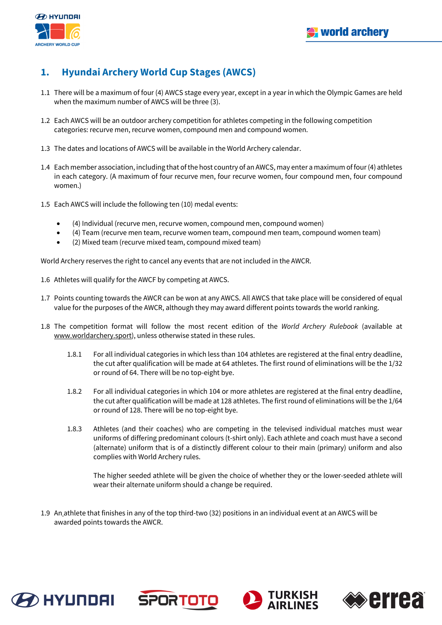

# **1. Hyundai Archery World Cup Stages (AWCS)**

- 1.1 There will be a maximum of four (4) AWCS stage every year, except in a year in which the Olympic Games are held when the maximum number of AWCS will be three (3).
- 1.2 Each AWCS will be an outdoor archery competition for athletes competing in the following competition categories: recurve men, recurve women, compound men and compound women.
- 1.3 The dates and locations of AWCS will be available in the World Archery calendar.
- 1.4 Each member association, including that of the host country of an AWCS, may enter a maximum of four (4) athletes in each category. (A maximum of four recurve men, four recurve women, four compound men, four compound women.)
- 1.5 Each AWCS will include the following ten (10) medal events:
	- (4) Individual (recurve men, recurve women, compound men, compound women)
	- (4) Team (recurve men team, recurve women team, compound men team, compound women team)
	- (2) Mixed team (recurve mixed team, compound mixed team)

World Archery reserves the right to cancel any events that are not included in the AWCR.

- 1.6 Athletes will qualify for the AWCF by competing at AWCS.
- 1.7 Points counting towards the AWCR can be won at any AWCS. All AWCS that take place will be considered of equal value for the purposes of the AWCR, although they may award different points towards the world ranking.
- 1.8 The competition format will follow the most recent edition of the *World Archery Rulebook* (available at www.worldarchery.sport), unless otherwise stated in these rules.
	- 1.8.1 For all individual categories in which less than 104 athletes are registered at the final entry deadline, the cut after qualification will be made at 64 athletes. The first round of eliminations will be the 1/32 or round of 64. There will be no top-eight bye.
	- 1.8.2 For all individual categories in which 104 or more athletes are registered at the final entry deadline, the cut after qualification will be made at 128 athletes. The first round of eliminations will be the 1/64 or round of 128. There will be no top-eight bye.
	- 1.8.3 Athletes (and their coaches) who are competing in the televised individual matches must wear uniforms of differing predominant colours (t-shirt only). Each athlete and coach must have a second (alternate) uniform that is of a distinctly different colour to their main (primary) uniform and also complies with World Archery rules.

The higher seeded athlete will be given the choice of whether they or the lower-seeded athlete will wear their alternate uniform should a change be required.

1.9 An athlete that finishes in any of the top third-two (32) positions in an individual event at an AWCS will be awarded points towards the AWCR.







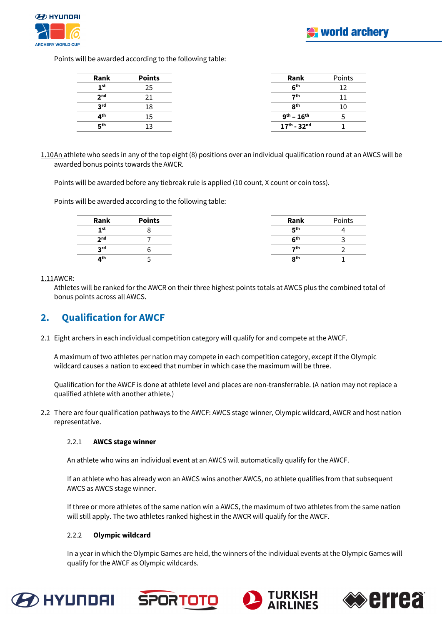Points will be awarded according to the following table:

| Rank            | <b>Points</b> | Rank                         | Points |
|-----------------|---------------|------------------------------|--------|
| 1 <sup>st</sup> |               | 6 <sup>th</sup>              |        |
| 2 <sub>nd</sub> |               | 7th                          |        |
| <b>2rd</b>      |               | $R^{th}$                     |        |
| ⊿ <sup>th</sup> |               | $9^{th} - 16^{th}$           |        |
| гςth            |               | $17^{th}$ - 32 <sup>nd</sup> |        |

1.10An athlete who seeds in any of the top eight (8) positions over an individual qualification round at an AWCS will be awarded bonus points towards the AWCR.

Points will be awarded before any tiebreak rule is applied (10 count, X count or coin toss).

Points will be awarded according to the following table:

| Rank            | <b>Points</b> | Rank            | Points |
|-----------------|---------------|-----------------|--------|
| 1st             |               | <b>Eth</b>      |        |
| 2 <sub>nd</sub> |               | 6 <sup>th</sup> |        |
| 2 <sub>rd</sub> |               | ァth             |        |
| 4 <sup>th</sup> |               | 8 <sup>th</sup> |        |

1.11AWCR:

Athletes will be ranked for the AWCR on their three highest points totals at AWCS plus the combined total of bonus points across all AWCS.

# **2. Qualification for AWCF**

2.1 Eight archers in each individual competition category will qualify for and compete at the AWCF.

A maximum of two athletes per nation may compete in each competition category, except if the Olympic wildcard causes a nation to exceed that number in which case the maximum will be three.

Qualification for the AWCF is done at athlete level and places are non-transferrable. (A nation may not replace a qualified athlete with another athlete.)

2.2 There are four qualification pathways to the AWCF: AWCS stage winner, Olympic wildcard, AWCR and host nation representative.

### 2.2.1 **AWCS stage winner**

An athlete who wins an individual event at an AWCS will automatically qualify for the AWCF.

If an athlete who has already won an AWCS wins another AWCS, no athlete qualifies from that subsequent AWCS as AWCS stage winner.

If three or more athletes of the same nation win a AWCS, the maximum of two athletes from the same nation will still apply. The two athletes ranked highest in the AWCR will qualify for the AWCF.

### 2.2.2 **Olympic wildcard**

In a year in which the Olympic Games are held, the winners of the individual events at the Olympic Games will qualify for the AWCF as Olympic wildcards.







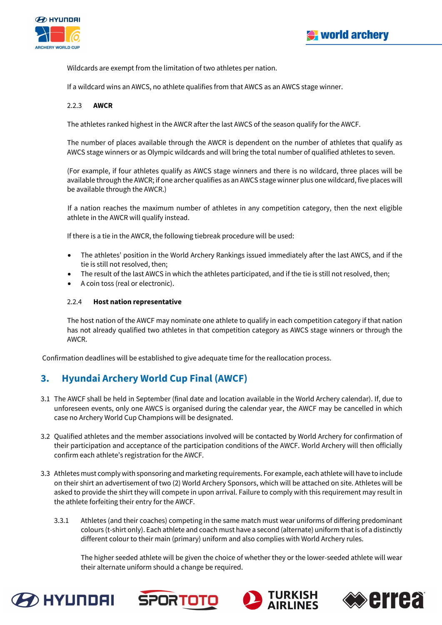

Wildcards are exempt from the limitation of two athletes per nation.

If a wildcard wins an AWCS, no athlete qualifies from that AWCS as an AWCS stage winner.

### 2.2.3 **AWCR**

The athletes ranked highest in the AWCR after the last AWCS of the season qualify for the AWCF.

The number of places available through the AWCR is dependent on the number of athletes that qualify as AWCS stage winners or as Olympic wildcards and will bring the total number of qualified athletes to seven.

(For example, if four athletes qualify as AWCS stage winners and there is no wildcard, three places will be available through the AWCR; if one archer qualifies as an AWCS stage winner plus one wildcard, five places will be available through the AWCR.)

If a nation reaches the maximum number of athletes in any competition category, then the next eligible athlete in the AWCR will qualify instead.

If there is a tie in the AWCR, the following tiebreak procedure will be used:

- The athletes' position in the World Archery Rankings issued immediately after the last AWCS, and if the tie is still not resolved, then;
- The result of the last AWCS in which the athletes participated, and if the tie is still not resolved, then;
- A coin toss (real or electronic).

### 2.2.4 **Host nation representative**

The host nation of the AWCF may nominate one athlete to qualify in each competition category if that nation has not already qualified two athletes in that competition category as AWCS stage winners or through the AWCR.

Confirmation deadlines will be established to give adequate time for the reallocation process.

# **3. Hyundai Archery World Cup Final (AWCF)**

- 3.1 The AWCF shall be held in September (final date and location available in the World Archery calendar). If, due to unforeseen events, only one AWCS is organised during the calendar year, the AWCF may be cancelled in which case no Archery World Cup Champions will be designated.
- 3.2 Qualified athletes and the member associations involved will be contacted by World Archery for confirmation of their participation and acceptance of the participation conditions of the AWCF. World Archery will then officially confirm each athlete's registration for the AWCF.
- 3.3 Athletes must comply with sponsoring and marketing requirements. For example, each athlete will have to include on their shirt an advertisement of two (2) World Archery Sponsors, which will be attached on site. Athletes will be asked to provide the shirt they will compete in upon arrival. Failure to comply with this requirement may result in the athlete forfeiting their entry for the AWCF.
	- 3.3.1 Athletes (and their coaches) competing in the same match must wear uniforms of differing predominant colours (t-shirt only). Each athlete and coach must have a second (alternate) uniform that is of a distinctly different colour to their main (primary) uniform and also complies with World Archery rules.

The higher seeded athlete will be given the choice of whether they or the lower-seeded athlete will wear their alternate uniform should a change be required.







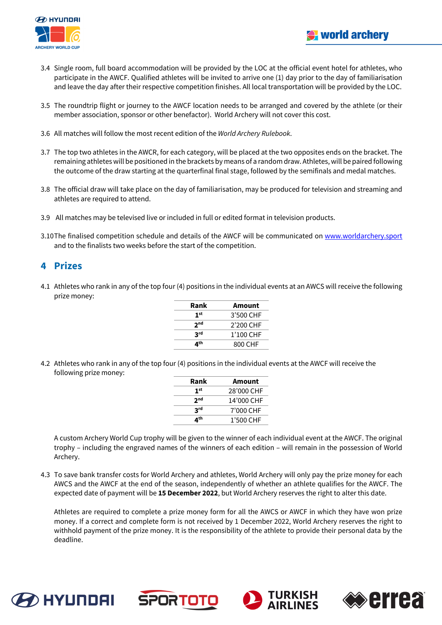



- 3.4 Single room, full board accommodation will be provided by the LOC at the official event hotel for athletes, who participate in the AWCF. Qualified athletes will be invited to arrive one (1) day prior to the day of familiarisation and leave the day after their respective competition finishes. All local transportation will be provided by the LOC.
- 3.5 The roundtrip flight or journey to the AWCF location needs to be arranged and covered by the athlete (or their member association, sponsor or other benefactor). World Archery will not cover this cost.
- 3.6 All matches will follow the most recent edition of the *World Archery Rulebook*.
- 3.7 The top two athletes in the AWCR, for each category, will be placed at the two opposites ends on the bracket. The remaining athletes will be positioned in the brackets by means of a random draw. Athletes, will be paired following the outcome of the draw starting at the quarterfinal final stage, followed by the semifinals and medal matches.
- 3.8 The official draw will take place on the day of familiarisation, may be produced for television and streaming and athletes are required to attend.
- 3.9 All matches may be televised live or included in full or edited format in television products.
- 3.10The finalised competition schedule and details of the AWCF will be communicated on www.worldarchery.sport and to the finalists two weeks before the start of the competition.

# **4 Prizes**

4.1 Athletes who rank in any of the top four (4) positions in the individual events at an AWCS will receive the following prize money:

| Rank            | <b>Amount</b> |
|-----------------|---------------|
| 1 <sup>st</sup> | 3'500 CHF     |
| 2 <sub>nd</sub> | 2'200 CHF     |
| <b>2rd</b>      | 1'100 CHF     |
| ⊿th             | 800 CHF       |
|                 |               |

4.2 Athletes who rank in any of the top four (4) positions in the individual events at the AWCF will receive the following prize money:

| Rank            | Amount     |
|-----------------|------------|
| 1 <sup>st</sup> | 28'000 CHF |
| 2 <sub>nd</sub> | 14'000 CHF |
| <b>S</b> rq     | 7'000 CHF  |
| ⊿th             | 1'500 CHF  |

A custom Archery World Cup trophy will be given to the winner of each individual event at the AWCF. The original trophy – including the engraved names of the winners of each edition – will remain in the possession of World Archery.

4.3 To save bank transfer costs for World Archery and athletes, World Archery will only pay the prize money for each AWCS and the AWCF at the end of the season, independently of whether an athlete qualifies for the AWCF. The expected date of payment will be **15 December 2022**, but World Archery reserves the right to alter this date.

Athletes are required to complete a prize money form for all the AWCS or AWCF in which they have won prize money. If a correct and complete form is not received by 1 December 2022, World Archery reserves the right to withhold payment of the prize money. It is the responsibility of the athlete to provide their personal data by the deadline.